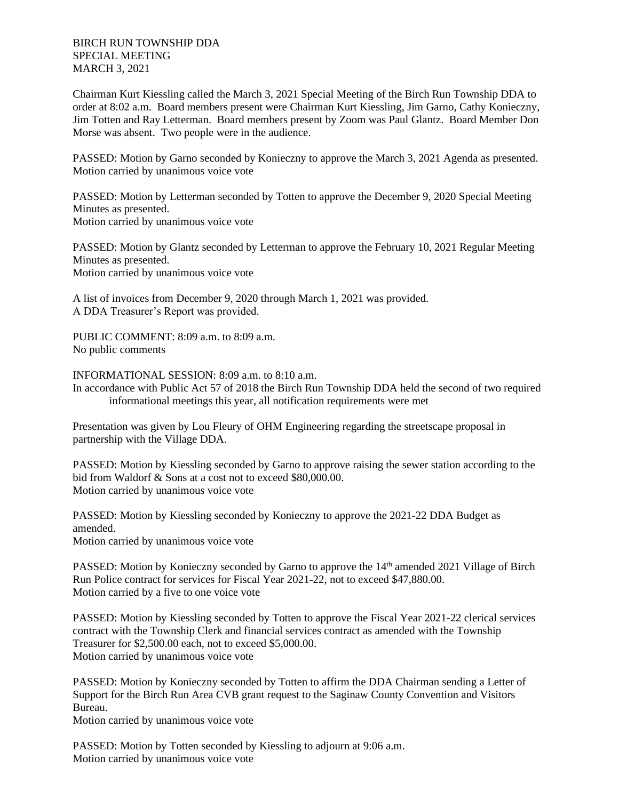BIRCH RUN TOWNSHIP DDA SPECIAL MEETING MARCH 3, 2021

Chairman Kurt Kiessling called the March 3, 2021 Special Meeting of the Birch Run Township DDA to order at 8:02 a.m. Board members present were Chairman Kurt Kiessling, Jim Garno, Cathy Konieczny, Jim Totten and Ray Letterman. Board members present by Zoom was Paul Glantz. Board Member Don Morse was absent. Two people were in the audience.

PASSED: Motion by Garno seconded by Konieczny to approve the March 3, 2021 Agenda as presented. Motion carried by unanimous voice vote

PASSED: Motion by Letterman seconded by Totten to approve the December 9, 2020 Special Meeting Minutes as presented. Motion carried by unanimous voice vote

PASSED: Motion by Glantz seconded by Letterman to approve the February 10, 2021 Regular Meeting Minutes as presented. Motion carried by unanimous voice vote

A list of invoices from December 9, 2020 through March 1, 2021 was provided. A DDA Treasurer's Report was provided.

PUBLIC COMMENT: 8:09 a.m. to 8:09 a.m. No public comments

INFORMATIONAL SESSION: 8:09 a.m. to 8:10 a.m.

In accordance with Public Act 57 of 2018 the Birch Run Township DDA held the second of two required informational meetings this year, all notification requirements were met

Presentation was given by Lou Fleury of OHM Engineering regarding the streetscape proposal in partnership with the Village DDA.

PASSED: Motion by Kiessling seconded by Garno to approve raising the sewer station according to the bid from Waldorf & Sons at a cost not to exceed \$80,000.00. Motion carried by unanimous voice vote

PASSED: Motion by Kiessling seconded by Konieczny to approve the 2021-22 DDA Budget as amended. Motion carried by unanimous voice vote

PASSED: Motion by Konieczny seconded by Garno to approve the 14<sup>th</sup> amended 2021 Village of Birch Run Police contract for services for Fiscal Year 2021-22, not to exceed \$47,880.00. Motion carried by a five to one voice vote

PASSED: Motion by Kiessling seconded by Totten to approve the Fiscal Year 2021-22 clerical services contract with the Township Clerk and financial services contract as amended with the Township Treasurer for \$2,500.00 each, not to exceed \$5,000.00. Motion carried by unanimous voice vote

PASSED: Motion by Konieczny seconded by Totten to affirm the DDA Chairman sending a Letter of Support for the Birch Run Area CVB grant request to the Saginaw County Convention and Visitors Bureau.

Motion carried by unanimous voice vote

PASSED: Motion by Totten seconded by Kiessling to adjourn at 9:06 a.m. Motion carried by unanimous voice vote